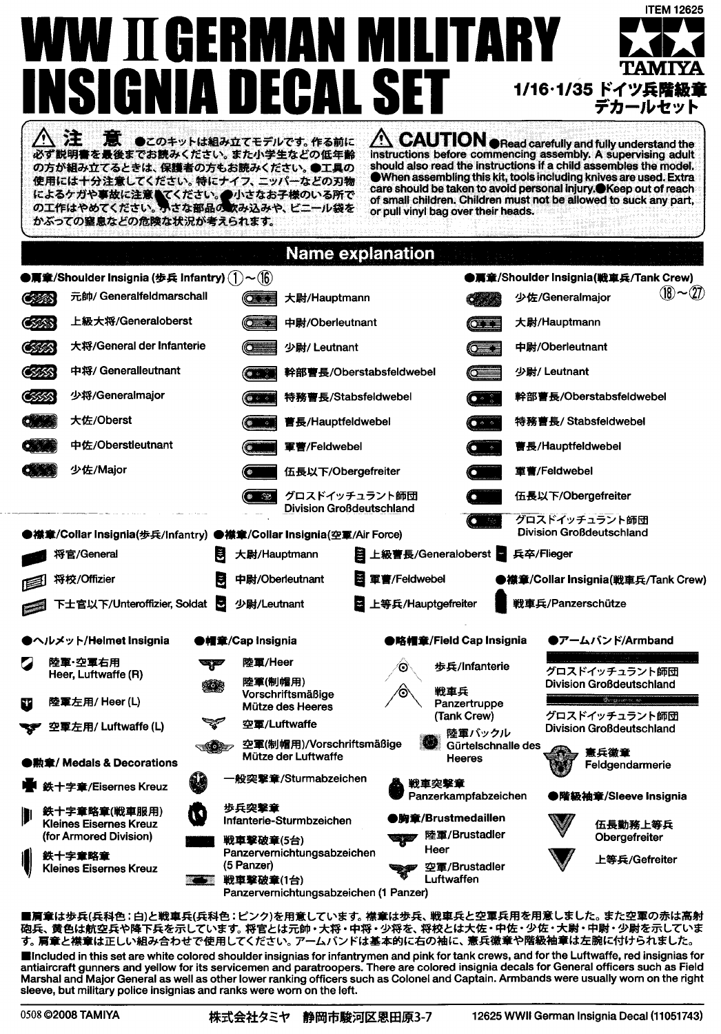## **ITEM 12625** ERMA W II G **TAM** E H 1/16・1/35 ドイツ兵階級1 デカールヤット  $\hat{M}$  CAUTION  $_{\oplus}$  Read carefully and fully understand the 注 ж ●このキットは組み立てモデルです。作る前に 必ず説明書を最後までお読みください。また小学生などの低年齢

の方が組み立てるときは、保護者の方もお読みください。●工具の 使用には十分注意してください。特にナイフ、ニッパーなどの刃物 によるケガや事故に注意してください。<br>の工作はやめてください。かさな部品の取み込みや、ビニール袋を かぶっての容息などの危険な状況が考えられます。

instructions before commencing assembly. A supervising adult should also read the instructions if a child assembles the model. The assembling this kit, tools including knives are used. Extra<br>care should be taken to avoid personal injury. Neep out of reach of small children. Children must not be allowed to suck any part. or pull vinyl bag over their heads.

|              |                                                                    |                                      | <b>Name explanation</b>                                               |                         |                                |                                                  |                 |  |
|--------------|--------------------------------------------------------------------|--------------------------------------|-----------------------------------------------------------------------|-------------------------|--------------------------------|--------------------------------------------------|-----------------|--|
|              | ●肩章/Shoulder Insignia (歩兵 Infantry) (ヿ)~(16)                       |                                      |                                                                       |                         |                                | ●肩章/Shoulder Insignia(戦車兵/Tank Crew)             |                 |  |
| <b>OSTAN</b> | 元帥/ Generalfeldmarschall                                           | $\circ$                              | 大尉/Hauptmann                                                          |                         |                                | 少佐/Generalmajor                                  | $(18)$ ~ $(27)$ |  |
| <b>CSSSS</b> | 上級大将/Generaloberst                                                 |                                      | 中尉/Oberleutnant                                                       |                         | $\sigma$                       | 大尉/Hauptmann                                     |                 |  |
| <b>OSSIS</b> | 大将/General der Infanterie                                          |                                      | 少尉/ Leutnant                                                          |                         | $\circ$ $\bullet$              | 中尉/Oberleutnant                                  |                 |  |
| CSSS         | 中将/ Generalleutnant                                                |                                      | 幹部曹長/Oberstabsfeldwebel                                               |                         |                                | 少尉/ Leutnant                                     |                 |  |
| යක           | 少将/Generalmajor                                                    | $\bullet$ $\leftarrow$               | 特務曹長/Stabsfeldwebel                                                   |                         | (● ÷ ∴                         | 幹部曹長/Oberstabsfeldwebel                          |                 |  |
|              | 大佐/Oberst                                                          |                                      | 曹長/Hauptfeldwebel                                                     |                         | $\bullet$ $\circ$              | 特務曹長/Stabsfeldwebel                              |                 |  |
|              | 中佐/Oberstleutnant                                                  |                                      | 軍曹/Feldwebel                                                          |                         |                                | 曹長/Hauptfeldwebel                                |                 |  |
|              | 少佐/Major                                                           |                                      | 伍長以下/Obergefreiter                                                    |                         |                                | 重曹/Feldwebel                                     |                 |  |
|              |                                                                    | Ø.                                   | グロスドイッチュラント師団<br>Division Großdeutschland                             |                         |                                | 伍長以下/Obergefreiter                               |                 |  |
|              | ●襟章/Collar Insignia(歩兵/infantry) ●襟章/Collar Insignia(空軍/Air Force) |                                      |                                                                       |                         |                                | グロスドイッチュラント師団<br><b>Division Großdeutschland</b> |                 |  |
|              | 将官/General                                                         | 大尉/Hauptmann                         |                                                                       | 日 上級曹長/Generaloberst    |                                | 兵卒/Flieger                                       |                 |  |
|              | 将校/Offizier                                                        | E                                    | 中尉/Oberleutnant                                                       | 图 軍曹/Feldwebel          |                                | ●襟章/Collar Insignia(戦車兵/Tank Crew)               |                 |  |
|              | 下士官以下/Unteroffizier, Soldat 图                                      | 少尉/Leutnant                          | в                                                                     | 上等兵/Hauptgefreiter      |                                | 戦車兵/Panzerschütze                                |                 |  |
|              | ▶ヘルメット/Helmet Insignia                                             | ●帽章/Cap Insignia                     |                                                                       | ●略帽章/Field Cap Insignia |                                | ●アームバンド/Armband                                  |                 |  |
|              | 陸軍·空軍右用<br>Heer, Luftwaffe (R)                                     | 陸軍/Heer<br>æ<br>陸軍(制帽用)              |                                                                       | 歩兵/Infanterie<br>о      |                                | グロスドイッチュラント師団<br>Division Großdeutschland        |                 |  |
| N.           | 陸軍左用/ Heer (L)                                                     | ∛ola                                 | Vorschriftsmäßige<br>Mütze des Heeres                                 | 戦車兵                     | Panzertruppe                   | <b>Quillendoning</b><br>グロスドイッチュラント師団            |                 |  |
|              | 空軍左用/ Luftwaffe (L)                                                |                                      | 空重/Luftwaffe                                                          |                         | (Tank Crew)<br>陸軍バックル          | Division Großdeutschland                         |                 |  |
|              | ●勲章/ Medals & Decorations                                          | -10-                                 | 空軍(制帽用)/Vorschriftsmäßige<br>Mütze der Luftwaffe                      |                         | Gürtelschnalle des<br>Heeres   | 憲兵徽章<br>Feldgendarmerie                          |                 |  |
|              | 鉄十字章/Eisernes Kreuz                                                |                                      | 般突擊章/Sturmabzeichen<br>戦車突撃章                                          |                         |                                | Panzerkampfabzeichen<br>●階級袖章/Sleeve Insignia    |                 |  |
| ₩            | 鉄十字章略章(戦車服用)<br><b>Kleines Eisernes Kreuz</b>                      | 歩兵突撃章                                | Infanterie-Sturmbzeichen                                              | ●胸童/Brustmedaillen      |                                | 伍長勤務上等兵                                          |                 |  |
|              | (for Armored Division)<br>鉄十字章略章<br>Kleines Eisernes Kreuz         | 戦車撃破章(5台)<br>(5 Panzer)<br>戦車撃破章(1台) | Panzervernichtungsabzeichen<br>Panzervernichtungsabzeichen (1 Panzer) | Heer<br>Luftwaffen      | 陸軍/Brustadler<br>空軍/Brustadler | Obergefreiter<br>上等兵/Gefreiter                   |                 |  |
|              |                                                                    |                                      |                                                                       |                         |                                |                                                  |                 |  |

■肩章は歩兵(兵科色:白)と戦車兵(兵科色:ピンク)を用意しています。 襟章は歩兵、 戦車兵と空軍兵用を用意しました。 また空軍の赤は高射 砲兵、黄色は航空兵や降下兵を示しています。将官とは元帥・大将・中将・少将を、将校とは大佐・中佐・少佐・大尉・中尉・少尉を示していま す。 肩章と襟章は正しい組み合わせで使用してください。 アームバンドは基本的に右の袖に、憲兵徽章や階級袖章は左腕に付けられました。 Included in this set are white colored shoulder insignias for infantrymen and pink for tank crews, and for the Luftwaffe, red insignias for antiaircraft gunners and yellow for its servicemen and paratroopers. There are colored insignia decals for General officers such as Field Marshal and Major General as well as other lower ranking officers such as Colonel and Captain. Armbands were usually worn on the right sleeve, but military police insignias and ranks were worn on the left.

0508 ©2008 TAMIYA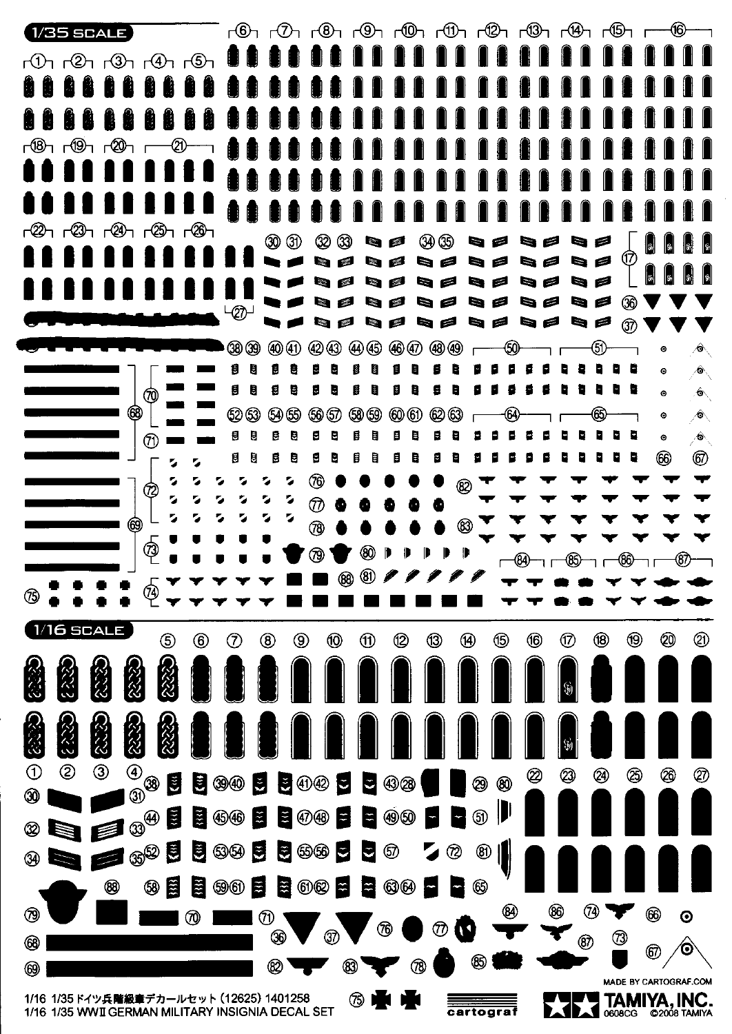